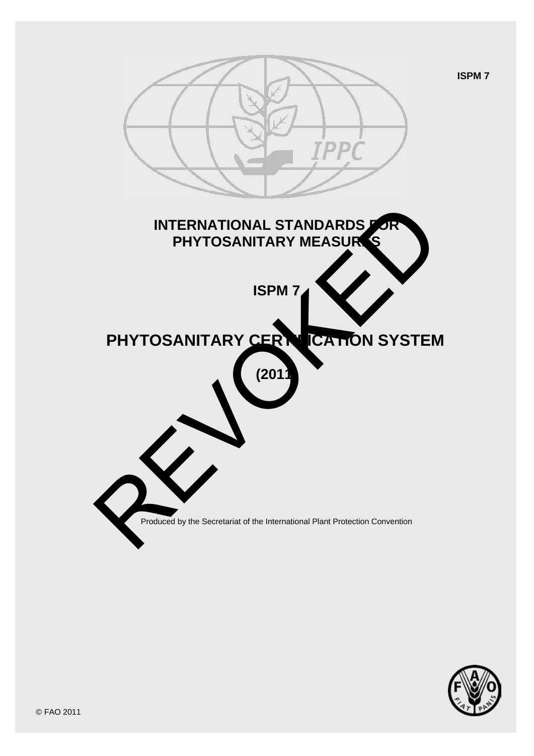



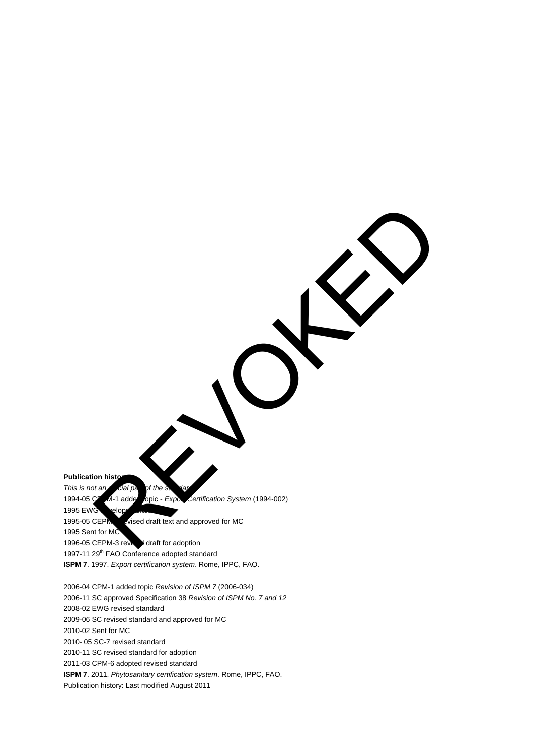**Publication histo** *This is not an cial part of the* 

1994-05 CEPM-1 added topic - *Export Certification System* (1994-002) 1995 EWG velop 1995-05 CEPM - vised draft text and approved for MC 1995 Sent for MC 1996-05 CEPM-3 revised draft for adoption 1997-11 29<sup>th</sup> FAO Conference adopted standard **ISPM 7**. 1997. *Export certification system*. Rome, IPPC, FAO. REVOKED AND STRUCTURE OF THE CONFERENCE STATE CONFERENCE STATE CONFERENCE STATE CONFERENCE STATE CONFERENCE STATE CONFERENCE STATE CONFERENCE STATE CONFERENCE STATE CONFERENCE STATE CONFERENCE STATE CONFERENCE STATE CONFER

2006-04 CPM-1 added topic *Revision of ISPM 7* (2006-034) 2006-11 SC approved Specification 38 *Revision of ISPM No. 7 and 12* 2008-02 EWG revised standard 2009-06 SC revised standard and approved for MC 2010-02 Sent for MC 2010- 05 SC-7 revised standard 2010-11 SC revised standard for adoption 2011-03 CPM-6 adopted revised standard **ISPM 7**. 2011. *Phytosanitary certification system*. Rome, IPPC, FAO. Publication history: Last modified August 2011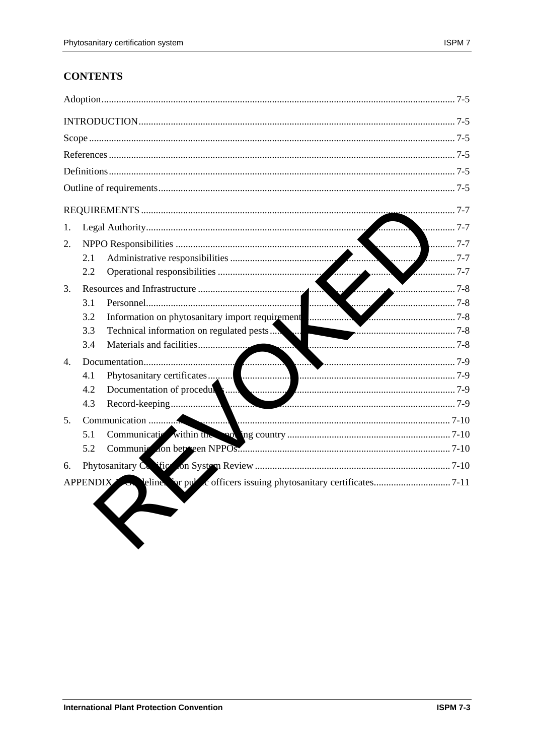# **CONTENTS**

| 1.              |            |                                                                                                                                                                                                                                |  |
|-----------------|------------|--------------------------------------------------------------------------------------------------------------------------------------------------------------------------------------------------------------------------------|--|
| 2.              |            |                                                                                                                                                                                                                                |  |
|                 | 2.1        |                                                                                                                                                                                                                                |  |
|                 | 2.2        | $\sim$ 7-7                                                                                                                                                                                                                     |  |
| 3.              | $\sqrt{2}$ |                                                                                                                                                                                                                                |  |
|                 | 3.1        |                                                                                                                                                                                                                                |  |
|                 | 3.2        | Information on phytosanitary import requirement                                                                                                                                                                                |  |
|                 | 3.3        | Technical information on regulated pests                                                                                                                                                                                       |  |
|                 | 3.4        | <u>.</u>                                                                                                                                                                                                                       |  |
| $\mathbf{4}$ .  |            |                                                                                                                                                                                                                                |  |
|                 | 4.1        |                                                                                                                                                                                                                                |  |
|                 | 4.2        | Documentation of procedures and continuum and continuum and the contract of the contract of the contract of the contract of the contract of the contract of the contract of the contract of the contract of the contract of th |  |
|                 | 4.3        |                                                                                                                                                                                                                                |  |
| 5.              |            |                                                                                                                                                                                                                                |  |
|                 | 5.1        |                                                                                                                                                                                                                                |  |
|                 | 5.2        |                                                                                                                                                                                                                                |  |
| 6.              |            |                                                                                                                                                                                                                                |  |
| <b>APPENDIX</b> |            |                                                                                                                                                                                                                                |  |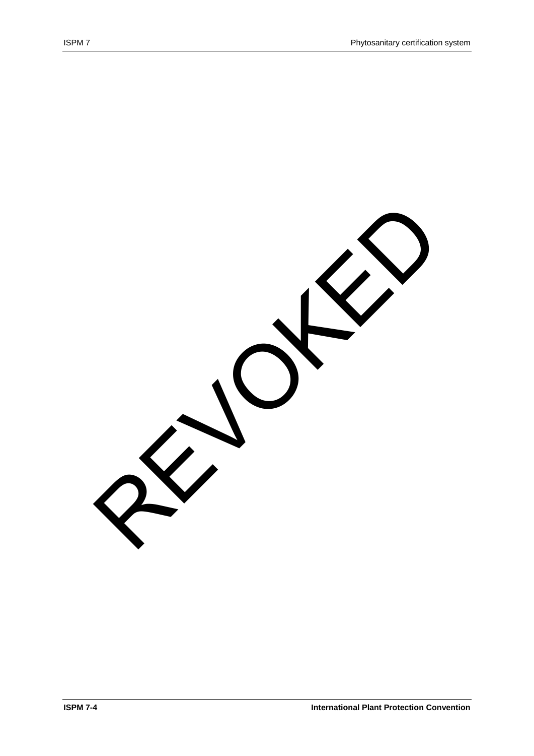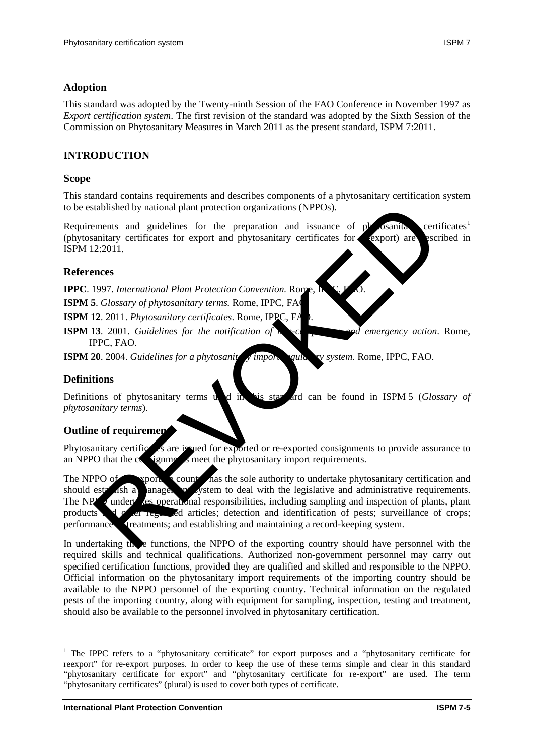# **Adoption**

This standard was adopted by the Twenty-ninth Session of the FAO Conference in November 1997 as *Export certification system*. The first revision of the standard was adopted by the Sixth Session of the Commission on Phytosanitary Measures in March 2011 as the present standard, ISPM 7:2011.

# **INTRODUCTION**

## **Scope**

This standard contains requirements and describes components of a phytosanitary certification system to be established by national plant protection organizations (NPPOs).

Requirements and guidelines for the preparation and issuance of  $p$  osanitary certificates<sup>[1](#page-4-0)</sup> (phytosanitary certificates for export and phytosanitary certificates for export) are export in ISPM 12:2011.

## **References**

**IPPC**. 1997. *International Plant Protection Convention*. Rome

**ISPM 5**. *Glossary of phytosanitary terms*. Rome, IPPC, FA

**ISPM 12**. 2011. *Phytosanitary certificates*. Rome, IPPC, FA

**ISPM 13**. 2001. *Guidelines for the notification of*  $\lambda$ , compliance and emergency action. Rome, IPPC, FAO.

**ISPM 20**. 2004. *Guidelines for a phytosanity symport value of system.* Rome, IPPC, FAO.

### **Definitions**

<u>.</u>

Definitions of phytosanitary terms used in this star and can be found in ISPM 5 (*Glossary of phytosanitary terms*).

#### **Outline of requirements**

Phytosanitary certification are issued for exported or re-exported consignments to provide assurance to an NPPO that the  $c_0$  signments meet the phytosanitary import requirements.

The NPPO of  $\bullet$  sporting country has the sole authority to undertake phytosanitary certification and should establish a management system to deal with the legislative and administrative requirements. The NPP<sub>2</sub> undert es operational responsibilities, including sampling and inspection of plants, plant products and other regulated articles; detection and identification of pests; surveillance of crops; performance **treatments**; and establishing and maintaining a record-keeping system. Transmittery extinction and paint protection organizations (NPPOs).<br>
Ements and guidelines for the preparation and issuance of prosesure<br>
2:2011.<br>
2:2011. Phytosanitary certificates for export and phytosanitary certificate

In undertaking the functions, the NPPO of the exporting country should have personnel with the required skills and technical qualifications. Authorized non-government personnel may carry out specified certification functions, provided they are qualified and skilled and responsible to the NPPO. Official information on the phytosanitary import requirements of the importing country should be available to the NPPO personnel of the exporting country. Technical information on the regulated pests of the importing country, along with equipment for sampling, inspection, testing and treatment, should also be available to the personnel involved in phytosanitary certification.

<span id="page-4-0"></span><sup>&</sup>lt;sup>1</sup> The IPPC refers to a "phytosanitary certificate" for export purposes and a "phytosanitary certificate for reexport" for re-export purposes. In order to keep the use of these terms simple and clear in this standard "phytosanitary certificate for export" and "phytosanitary certificate for re-export" are used. The term "phytosanitary certificates" (plural) is used to cover both types of certificate.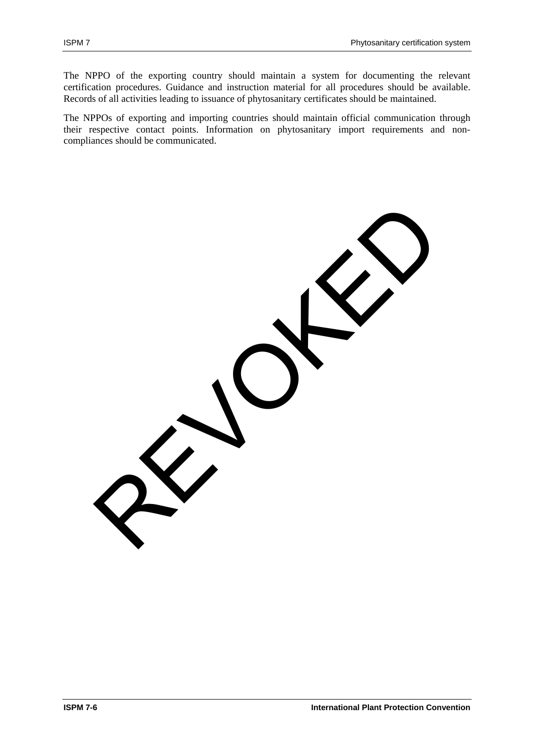The NPPO of the exporting country should maintain a system for documenting the relevant certification procedures. Guidance and instruction material for all procedures should be available. Records of all activities leading to issuance of phytosanitary certificates should be maintained.

The NPPOs of exporting and importing countries should maintain official communication through their respective contact points. Information on phytosanitary import requirements and noncompliances should be communicated.

REVOKED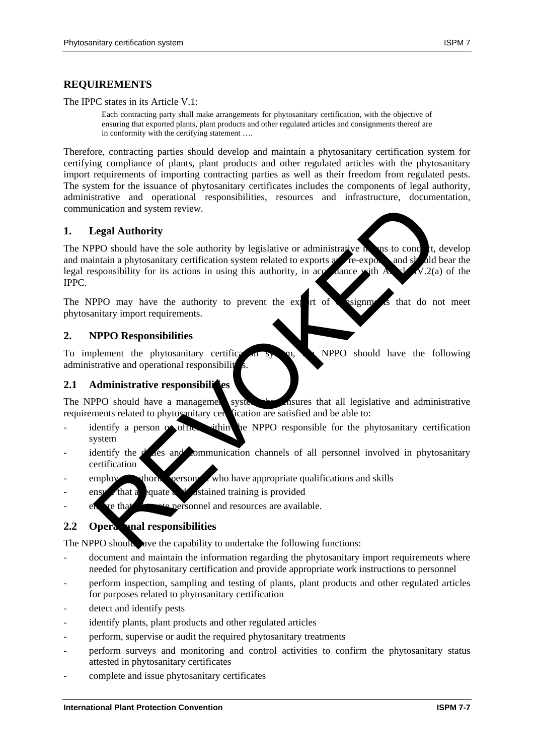The IPPC states in its Article V.1:

Each contracting party shall make arrangements for phytosanitary certification, with the objective of ensuring that exported plants, plant products and other regulated articles and consignments thereof are in conformity with the certifying statement ….

Therefore, contracting parties should develop and maintain a phytosanitary certification system for certifying compliance of plants, plant products and other regulated articles with the phytosanitary import requirements of importing contracting parties as well as their freedom from regulated pests. The system for the issuance of phytosanitary certificates includes the components of legal authority, administrative and operational responsibilities, resources and infrastructure, documentation, communication and system review.

## **1. Legal Authority**

The NPPO should have the sole authority by legislative or administrative  $\mathbf h$  and to conduct, develop and maintain a phytosanitary certification system related to exports and re-exports and should bear the legal responsibility for its actions in using this authority, in accordance with Article IV.2(a) of the IPPC. Solution and system review.<br>
Cegal Authority<br>
PPO should have the sole authority by legislative or administrative to post to cond<br>
that an aphyosanitary certification system related to exports of decay<br>
sponsibility for it

The NPPO may have the authority to prevent the export of consignments that do not meet phytosanitary import requirements.

#### **2. NPPO Responsibilities**

To implement the phytosanitary certification system, the NPPO should have the following administrative and operational responsibility

#### **2.1 Administrative responsibilities**

The NPPO should have a management system that all legislative and administrative requirements related to phytosanitary certification are satisfied and be able to:

- identify a person  $\alpha$  of the within the NPPO responsible for the phytosanitary certification system
- identify the  $d$  des and communication channels of all personnel involved in phytosanitary certification
- $\epsilon$  employ othorize personnel who have appropriate qualifications and skills
- ensure that a equate and sustained training is provided
- $e<sub>h</sub>$  are that and resources are available.

#### **2.2 Operational responsibilities**

The NPPO should are the capability to undertake the following functions:

- document and maintain the information regarding the phytosanitary import requirements where needed for phytosanitary certification and provide appropriate work instructions to personnel
- perform inspection, sampling and testing of plants, plant products and other regulated articles for purposes related to phytosanitary certification
- detect and identify pests
- identify plants, plant products and other regulated articles
- perform, supervise or audit the required phytosanitary treatments
- perform surveys and monitoring and control activities to confirm the phytosanitary status attested in phytosanitary certificates
- complete and issue phytosanitary certificates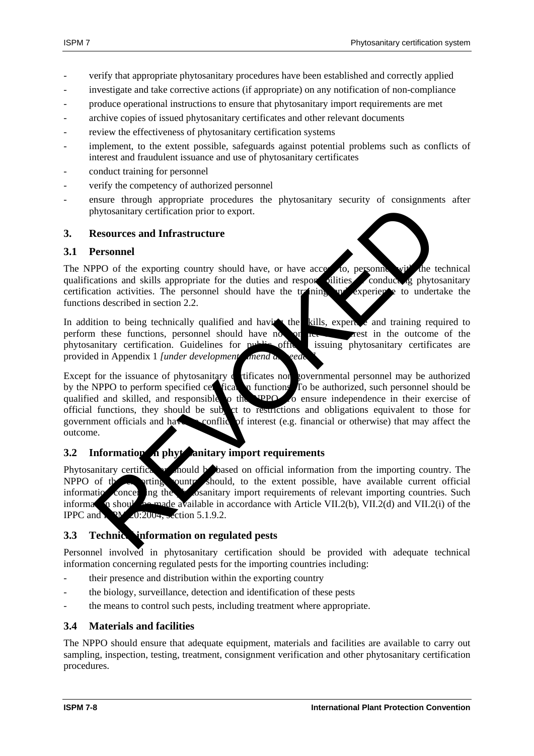- verify that appropriate phytosanitary procedures have been established and correctly applied
- investigate and take corrective actions (if appropriate) on any notification of non-compliance
- produce operational instructions to ensure that phytosanitary import requirements are met
- archive copies of issued phytosanitary certificates and other relevant documents
- review the effectiveness of phytosanitary certification systems
- implement, to the extent possible, safeguards against potential problems such as conflicts of interest and fraudulent issuance and use of phytosanitary certificates
- conduct training for personnel
- verify the competency of authorized personnel
- ensure through appropriate procedures the phytosanitary security of consignments after phytosanitary certification prior to export.

#### **3. Resources and Infrastructure**

#### **3.1 Personnel**

The NPPO of the exporting country should have, or have access to, personnel with the technical qualifications and skills appropriate for the duties and responsibilities qualifications and skills appropriate for the duties and responsibilities conducting phytosanitary certification activities. The personnel should have the training  $\mathbf{p}$  experience to undertake the functions described in section 2.2.

In addition to being technically qualified and having the kills, expertise and training required to perform these functions, personnel should have no conflict of interest in the outcome of the phytosanitary certification. Guidelines for public officers issuing phytosanitary certificates are provided in Appendix 1 *[under development* amend as

Except for the issuance of phytosanitary certificates non-governmental personnel may be authorized by the NPPO to perform specified certification functions. To be authorized, such personnel should be qualified and skilled, and responsible to the UPPO of ensure independence in their exercise of qualified and skilled, and responsible to the NPPO. To ensure independence in their exercise of official functions, they should be subject to result to obligations equivalent to those for government officials and have no conflict of interest (e.g. financial or otherwise) that may affect the outcome. Experience and Infrastructure<br>
Resources and Infrastructure<br>
Resources and Infrastructure<br>
PPO of the exporing country should have, or have accessible and response and<br>
PPO of the exporing country should have, or have acce

### **3.2** Information **on phytosanitary import requirements**

Phytosanitary certification should be based on official information from the importing country. The NPPO of the extent should, to the extent possible, have available current official information concerning the  $\mathcal{P}_1$  containing import requirements of relevant importing countries. Such information should be made available in accordance with Article VII.2(b), VII.2(d) and VII.2(i) of the IPPC and  $N = 0.2004$ , section 5.1.9.2.

#### **3.3 Technic information on regulated pests**

Personnel involved in phytosanitary certification should be provided with adequate technical information concerning regulated pests for the importing countries including:

- their presence and distribution within the exporting country
- the biology, surveillance, detection and identification of these pests
- the means to control such pests, including treatment where appropriate.

#### **3.4 Materials and facilities**

The NPPO should ensure that adequate equipment, materials and facilities are available to carry out sampling, inspection, testing, treatment, consignment verification and other phytosanitary certification procedures.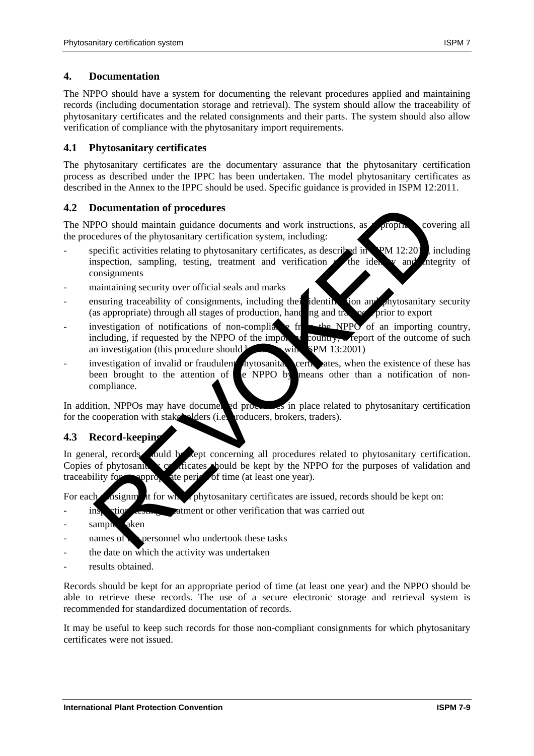## **4. Documentation**

The NPPO should have a system for documenting the relevant procedures applied and maintaining records (including documentation storage and retrieval). The system should allow the traceability of phytosanitary certificates and the related consignments and their parts. The system should also allow verification of compliance with the phytosanitary import requirements.

## **4.1 Phytosanitary certificates**

The phytosanitary certificates are the documentary assurance that the phytosanitary certification process as described under the IPPC has been undertaken. The model phytosanitary certificates as described in the Annex to the IPPC should be used. Specific guidance is provided in ISPM 12:2011.

## **4.2 Documentation of procedures**

The NPPO should maintain guidance documents and work instructions, as appropriate, covering all the procedures of the phytosanitary certification system, including:

- specific activities relating to phytosanitary certificates, as described in IPM 12:201<sub>1</sub>, including inspection, sampling, testing, treatment and verification the identity and integrity of consignments
- maintaining security over official seals and marks
- ensuring traceability of consignments, including their identification and phytosanitary security (as appropriate) through all stages of production, handling and transport prior to export
- investigation of notifications of non-compliance from the NPPO of an importing country, including, if requested by the NPPO of the importing country, a report of the outcome of such an investigation (this procedure should be in line with  $SPM 13:2001$ ) Documentation of procedures<br>
Pro should maintain guidance documents and work instructions, as<br>
recedures of the phytosanitary certification system, including:<br>
repeaties of the phytosanitary certification system, including
- investigation of invalid or fraudulent hytosanitary certificates, when the existence of these has been brought to the attention of e NPPO by means other than a notification of noncompliance.

In addition, NPPOs may have documented procedures in place related to phytosanitary certification for the cooperation with stake holders (i.e. producers, brokers, traders).

#### **4.3 Record-keeping**

In general, records should be kept concerning all procedures related to phytosanitary certification. Copies of phytosanity certificates should be kept by the NPPO for the purposes of validation and traceability for appropriate period of time (at least one year).

For each noisignment for which phytosanitary certificates are issued, records should be kept on:

- inspection, the inspection of the verification that was carried out
- sample aken
- $name of  $\epsilon$  personnel who undertook these tasks$
- the date on which the activity was undertaken
- results obtained.

Records should be kept for an appropriate period of time (at least one year) and the NPPO should be able to retrieve these records. The use of a secure electronic storage and retrieval system is recommended for standardized documentation of records.

It may be useful to keep such records for those non-compliant consignments for which phytosanitary certificates were not issued.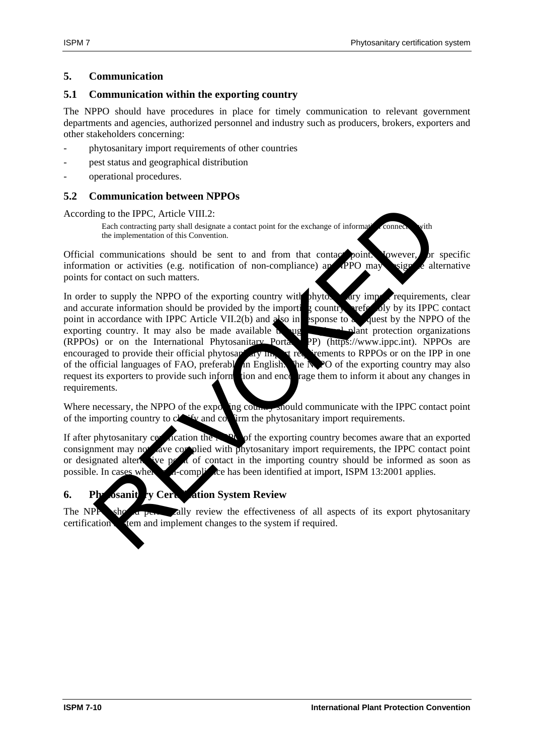### **5. Communication**

### **5.1 Communication within the exporting country**

The NPPO should have procedures in place for timely communication to relevant government departments and agencies, authorized personnel and industry such as producers, brokers, exporters and other stakeholders concerning:

- phytosanitary import requirements of other countries
- pest status and geographical distribution
- operational procedures.

## **5.2 Communication between NPPOs**

According to the IPPC, Article VIII.2:

Each contracting party shall designate a contact point for the exchange of information connected with the implementation of this Convention.

Official communications should be sent to and from that contact point. Jowever, or specific information or activities (e.g. notification of non-compliance) application  $\frac{1}{2}$  alternative information or activities (e.g. notification of non-compliance) and points for contact on such matters.

In order to supply the NPPO of the exporting country with phytos  $\alpha$  ary imported requirements, clear and accurate information should be provided by the importing country, preferably by its IPPC contact point in accordance with IPPC Article VII.2(b) and also in esponse to a quest by the NPPO of the point in accordance with IPPC Article VII.2(b) and  $a$  also in esponse to exporting country. It may also be made available  $\mathbf{h}$  and  $\mathbf{e}$  regional protection organizations (RPPOs) or on the International Phytosanitary Portal (IPP) (https://www.ippc.int). NPPOs are encouraged to provide their official phytosanitary in the set of rememts to RPPOs or on the IPP in one of the official languages of FAO, preferably in English. The  $\overline{N}$ PO of the exporting country may also request its exporters to provide such information and encourage them to inform it about any changes in requirements. ing to the IPPC, Article VIII.2:<br>
Each contracting any shall designate a contact point for the exchange of information of the implementation of this Convention.<br>
It communications should be sent to and from that contact po

Where necessary, the NPPO of the exporting country should communicate with the IPPC contact point of the importing country to  $c \sim f_V$  and  $c \sim f_V$  firm the phytosanitary import requirements.

If after phytosanitary certification the NPO of the exporting country becomes aware that an exported consignment may not ave complied with phytosanitary import requirements, the IPPC contact point or designated alternative point of contact in the importing country should be informed as soon as possible. In cases where no compliance has been identified at import, ISPM 13:2001 applies.

## **6.** Phytosanite **v** Certification System Review

The NPP showld periodic vertex the effectiveness of all aspects of its export phytosanitary certification tem and implement changes to the system if required.